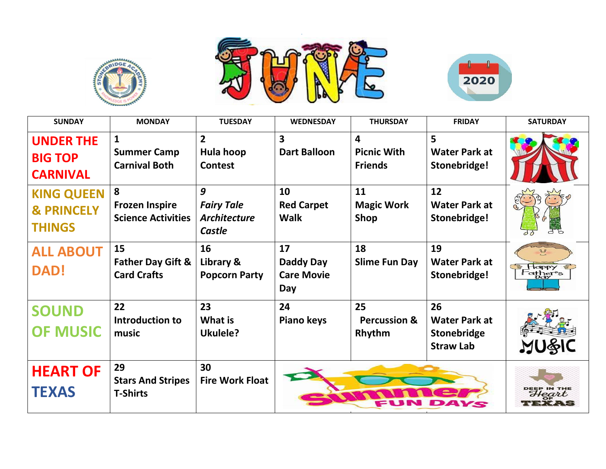





| <b>SUNDAY</b>                                               | <b>MONDAY</b>                                              | <b>TUESDAY</b>                                          | <b>WEDNESDAY</b>                               | <b>THURSDAY</b>                                                 | <b>FRIDAY</b>                                                 | <b>SATURDAY</b>         |
|-------------------------------------------------------------|------------------------------------------------------------|---------------------------------------------------------|------------------------------------------------|-----------------------------------------------------------------|---------------------------------------------------------------|-------------------------|
| <b>UNDER THE</b><br><b>BIG TOP</b><br><b>CARNIVAL</b>       | $\mathbf{1}$<br><b>Summer Camp</b><br><b>Carnival Both</b> | $\overline{2}$<br>Hula hoop<br><b>Contest</b>           | $\overline{\mathbf{3}}$<br><b>Dart Balloon</b> | $\overline{\mathbf{4}}$<br><b>Picnic With</b><br><b>Friends</b> | 5<br><b>Water Park at</b><br>Stonebridge!                     |                         |
| <b>KING QUEEN</b><br><b>&amp; PRINCELY</b><br><b>THINGS</b> | 8<br><b>Frozen Inspire</b><br><b>Science Activities</b>    | 9<br><b>Fairy Tale</b><br><b>Architecture</b><br>Castle | 10<br><b>Red Carpet</b><br><b>Walk</b>         | 11<br><b>Magic Work</b><br>Shop                                 | 12<br><b>Water Park at</b><br>Stonebridge!                    |                         |
| <b>ALL ABOUT</b><br><b>DAD!</b>                             | 15<br><b>Father Day Gift &amp;</b><br><b>Card Crafts</b>   | 16<br>Library &<br><b>Popcorn Party</b>                 | 17<br>Daddy Day<br><b>Care Movie</b><br>Day    | 18<br><b>Slime Fun Day</b>                                      | 19<br><b>Water Park at</b><br>Stonebridge!                    | $\mathbb{R}^2$<br>Edppy |
| <b>SOUND</b><br><b>OF MUSIC</b>                             | 22<br><b>Introduction to</b><br>music                      | 23<br><b>What is</b><br>Ukulele?                        | 24<br>Piano keys                               | 25<br><b>Percussion &amp;</b><br>Rhythm                         | 26<br><b>Water Park at</b><br>Stonebridge<br><b>Straw Lab</b> |                         |
| <b>HEART OF</b><br><b>TEXAS</b>                             | 29<br><b>Stars And Stripes</b><br><b>T-Shirts</b>          | 30<br><b>Fire Work Float</b>                            |                                                |                                                                 |                                                               | Heart<br>P.ZAS          |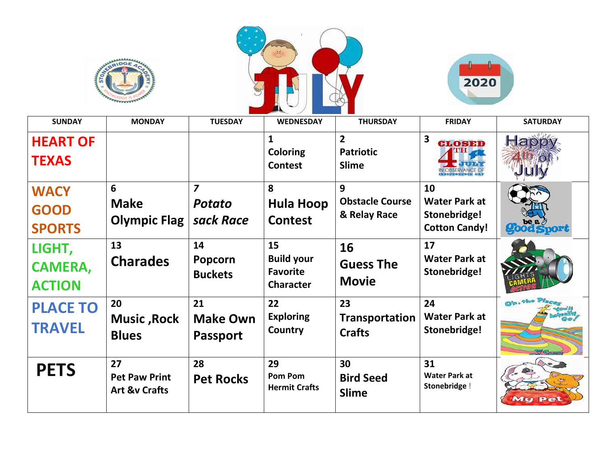





| <b>SUNDAY</b>                               | <b>MONDAY</b>                                          | <b>TUESDAY</b>                               | <b>WEDNESDAY</b>                                               | <b>THURSDAY</b>                                    | <b>FRIDAY</b>                                                      | <b>SATURDAY</b>   |
|---------------------------------------------|--------------------------------------------------------|----------------------------------------------|----------------------------------------------------------------|----------------------------------------------------|--------------------------------------------------------------------|-------------------|
| <b>HEART OF</b><br><b>TEXAS</b>             |                                                        |                                              | $\mathbf{1}$<br><b>Coloring</b><br><b>Contest</b>              | $\overline{2}$<br><b>Patriotic</b><br><b>Slime</b> | 3<br><b>CLOSED</b><br>Jrumm                                        | Rapi              |
| <b>WACY</b><br><b>GOOD</b><br><b>SPORTS</b> | 6<br><b>Make</b><br><b>Olympic Flag</b>                | $\overline{z}$<br><b>Potato</b><br>sack Race | 8<br><b>Hula Hoop</b><br><b>Contest</b>                        | 9<br><b>Obstacle Course</b><br>& Relay Race        | 10<br><b>Water Park at</b><br>Stonebridge!<br><b>Cotton Candy!</b> | <b>good Sport</b> |
| LIGHT,<br><b>CAMERA,</b><br><b>ACTION</b>   | 13<br><b>Charades</b>                                  | 14<br><b>Popcorn</b><br><b>Buckets</b>       | 15<br><b>Build your</b><br><b>Favorite</b><br><b>Character</b> | 16<br><b>Guess The</b><br><b>Movie</b>             | 17<br><b>Water Park at</b><br>Stonebridge!                         |                   |
| <b>PLACE TO</b><br><b>TRAVEL</b>            | 20<br><b>Music, Rock</b><br><b>Blues</b>               | 21<br><b>Make Own</b><br><b>Passport</b>     | 22<br><b>Exploring</b><br>Country                              | 23<br>Transportation<br><b>Crafts</b>              | 24<br><b>Water Park at</b><br>Stonebridge!                         |                   |
| <b>PETS</b>                                 | 27<br><b>Pet Paw Print</b><br><b>Art &amp;v Crafts</b> | 28<br><b>Pet Rocks</b>                       | 29<br>Pom Pom<br><b>Hermit Crafts</b>                          | 30<br><b>Bird Seed</b><br><b>Slime</b>             | 31<br><b>Water Park at</b><br>Stonebridge !                        | My Pet            |